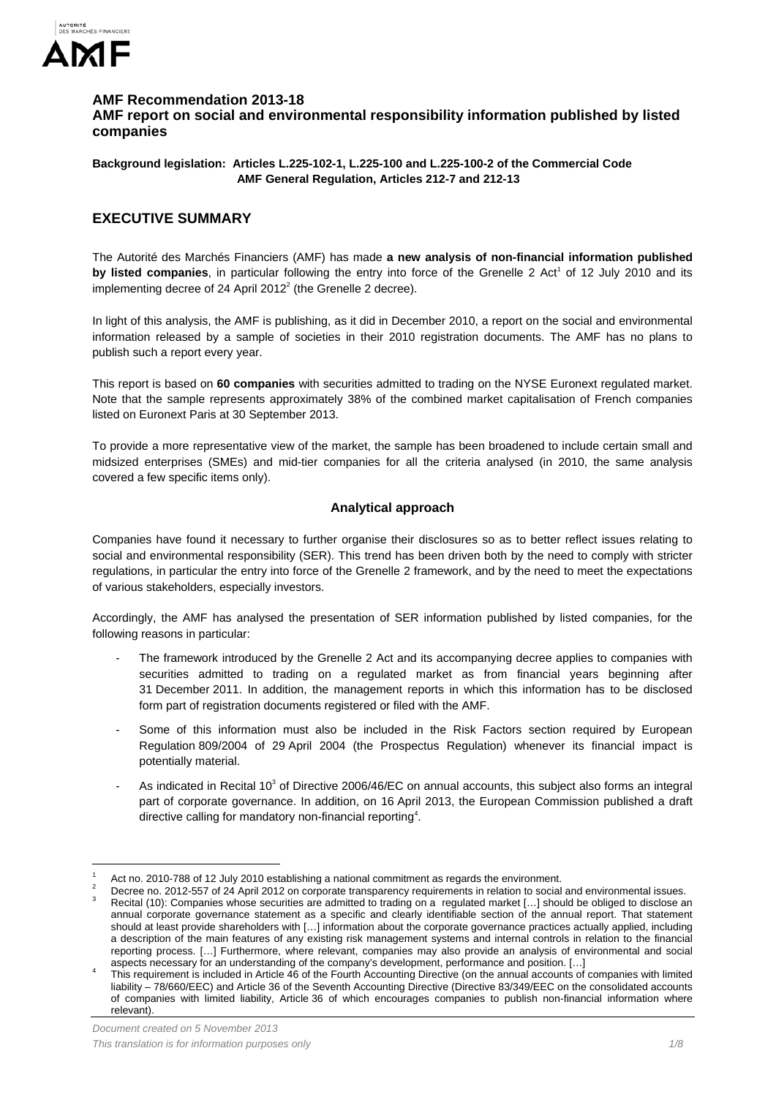

### **AMF Recommendation 2013-18 AMF report on social and environmental responsibility information published by listed companies**

**Background legislation: Articles L.225-102-1, L.225-100 and L.225-100-2 of the Commercial Code AMF General Regulation, Articles 212-7 and 212-13** 

# **EXECUTIVE SUMMARY**

The Autorité des Marchés Financiers (AMF) has made **a new analysis of non-financial information published**  by listed companies, in particular following the entry into force of the Grenelle 2 Act<sup>1</sup> of 12 July 2010 and its implementing decree of 24 April 2012 $2$  (the Grenelle 2 decree).

In light of this analysis, the AMF is publishing, as it did in December 2010, a report on the social and environmental information released by a sample of societies in their 2010 registration documents. The AMF has no plans to publish such a report every year.

This report is based on **60 companies** with securities admitted to trading on the NYSE Euronext regulated market. Note that the sample represents approximately 38% of the combined market capitalisation of French companies listed on Euronext Paris at 30 September 2013.

To provide a more representative view of the market, the sample has been broadened to include certain small and midsized enterprises (SMEs) and mid-tier companies for all the criteria analysed (in 2010, the same analysis covered a few specific items only).

## **Analytical approach**

Companies have found it necessary to further organise their disclosures so as to better reflect issues relating to social and environmental responsibility (SER). This trend has been driven both by the need to comply with stricter regulations, in particular the entry into force of the Grenelle 2 framework, and by the need to meet the expectations of various stakeholders, especially investors.

Accordingly, the AMF has analysed the presentation of SER information published by listed companies, for the following reasons in particular:

- The framework introduced by the Grenelle 2 Act and its accompanying decree applies to companies with securities admitted to trading on a regulated market as from financial years beginning after 31 December 2011. In addition, the management reports in which this information has to be disclosed form part of registration documents registered or filed with the AMF.
- Some of this information must also be included in the Risk Factors section required by European Regulation 809/2004 of 29 April 2004 (the Prospectus Regulation) whenever its financial impact is potentially material.
- As indicated in Recital 10 $3$  of Directive 2006/46/EC on annual accounts, this subject also forms an integral part of corporate governance. In addition, on 16 April 2013, the European Commission published a draft directive calling for mandatory non-financial reporting<sup>4</sup>.

Decree no. 2012-557 of 24 April 2012 on corporate transparency requirements in relation to social and environmental issues. Recital (10): Companies whose securities are admitted to trading on a regulated market […] should be obliged to disclose an

 $\overline{a}$ 

<sup>1</sup> Act no. 2010-788 of 12 July 2010 establishing a national commitment as regards the environment.

annual corporate governance statement as a specific and clearly identifiable section of the annual report. That statement should at least provide shareholders with […] information about the corporate governance practices actually applied, including a description of the main features of any existing risk management systems and internal controls in relation to the financial reporting process. […] Furthermore, where relevant, companies may also provide an analysis of environmental and social aspects necessary for an understanding of the company's development, performance and position. […] <sup>4</sup>

This requirement is included in Article 46 of the Fourth Accounting Directive (on the annual accounts of companies with limited liability – 78/660/EEC) and Article 36 of the Seventh Accounting Directive (Directive 83/349/EEC on the consolidated accounts of companies with limited liability, Article 36 of which encourages companies to publish non-financial information where relevant).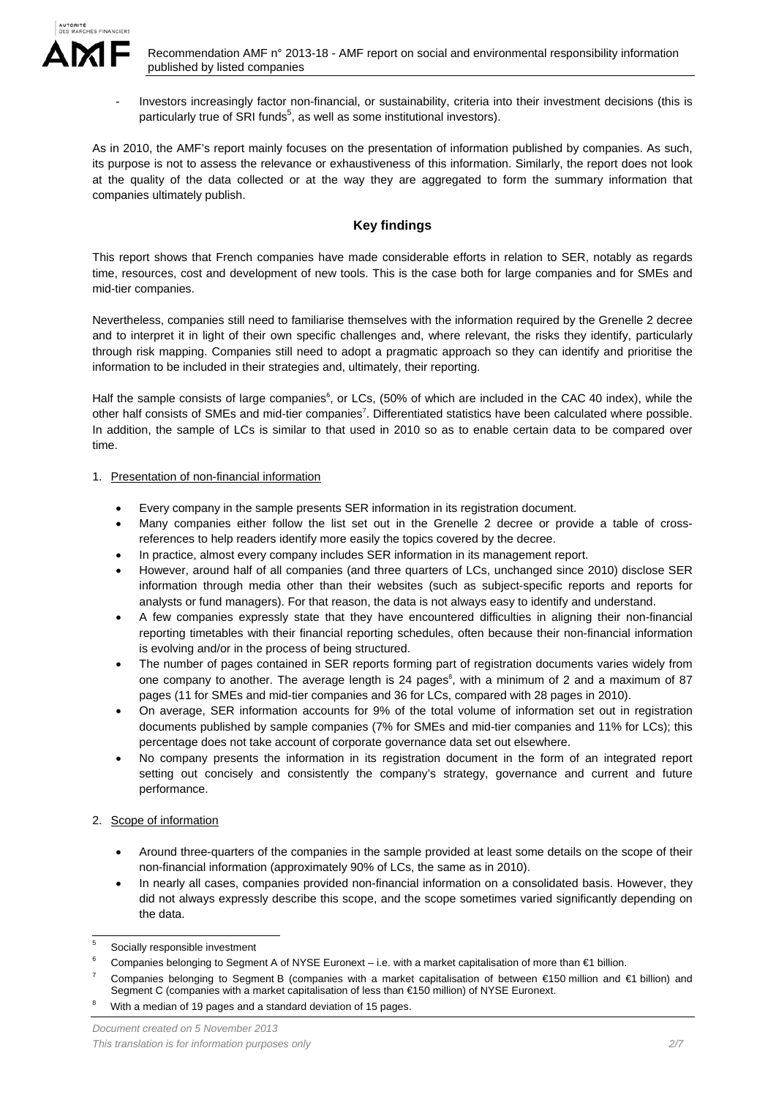

Investors increasingly factor non-financial, or sustainability, criteria into their investment decisions (this is particularly true of SRI funds<sup>5</sup>, as well as some institutional investors).

As in 2010, the AMF's report mainly focuses on the presentation of information published by companies. As such, its purpose is not to assess the relevance or exhaustiveness of this information. Similarly, the report does not look at the quality of the data collected or at the way they are aggregated to form the summary information that companies ultimately publish.

## **Key findings**

This report shows that French companies have made considerable efforts in relation to SER, notably as regards time, resources, cost and development of new tools. This is the case both for large companies and for SMEs and mid-tier companies.

Nevertheless, companies still need to familiarise themselves with the information required by the Grenelle 2 decree and to interpret it in light of their own specific challenges and, where relevant, the risks they identify, particularly through risk mapping. Companies still need to adopt a pragmatic approach so they can identify and prioritise the information to be included in their strategies and, ultimately, their reporting.

Half the sample consists of large companies<sup>6</sup>, or LCs, (50% of which are included in the CAC 40 index), while the other half consists of SMEs and mid-tier companies<sup>7</sup>. Differentiated statistics have been calculated where possible. In addition, the sample of LCs is similar to that used in 2010 so as to enable certain data to be compared over time.

### 1. Presentation of non-financial information

- Every company in the sample presents SER information in its registration document.
- Many companies either follow the list set out in the Grenelle 2 decree or provide a table of crossreferences to help readers identify more easily the topics covered by the decree.
- In practice, almost every company includes SER information in its management report.
- However, around half of all companies (and three quarters of LCs, unchanged since 2010) disclose SER information through media other than their websites (such as subject-specific reports and reports for analysts or fund managers). For that reason, the data is not always easy to identify and understand.
- A few companies expressly state that they have encountered difficulties in aligning their non-financial reporting timetables with their financial reporting schedules, often because their non-financial information is evolving and/or in the process of being structured.
- The number of pages contained in SER reports forming part of registration documents varies widely from one company to another. The average length is 24 pages<sup>8</sup>, with a minimum of 2 and a maximum of 87 pages (11 for SMEs and mid-tier companies and 36 for LCs, compared with 28 pages in 2010).
- On average, SER information accounts for 9% of the total volume of information set out in registration documents published by sample companies (7% for SMEs and mid-tier companies and 11% for LCs); this percentage does not take account of corporate governance data set out elsewhere.
- No company presents the information in its registration document in the form of an integrated report setting out concisely and consistently the company's strategy, governance and current and future performance.

### 2. Scope of information

- Around three-quarters of the companies in the sample provided at least some details on the scope of their non-financial information (approximately 90% of LCs, the same as in 2010).
- In nearly all cases, companies provided non-financial information on a consolidated basis. However, they did not always expressly describe this scope, and the scope sometimes varied significantly depending on the data.

- 7 Companies belonging to Segment B (companies with a market capitalisation of between €150 million and €1 billion) and Segment C (companies with a market capitalisation of less than €150 million) of NYSE Euronext.
- 8 With a median of 19 pages and a standard deviation of 15 pages.

 $\frac{1}{5}$ Socially responsible investment

<sup>6</sup> Companies belonging to Segment A of NYSE Euronext – i.e. with a market capitalisation of more than €1 billion.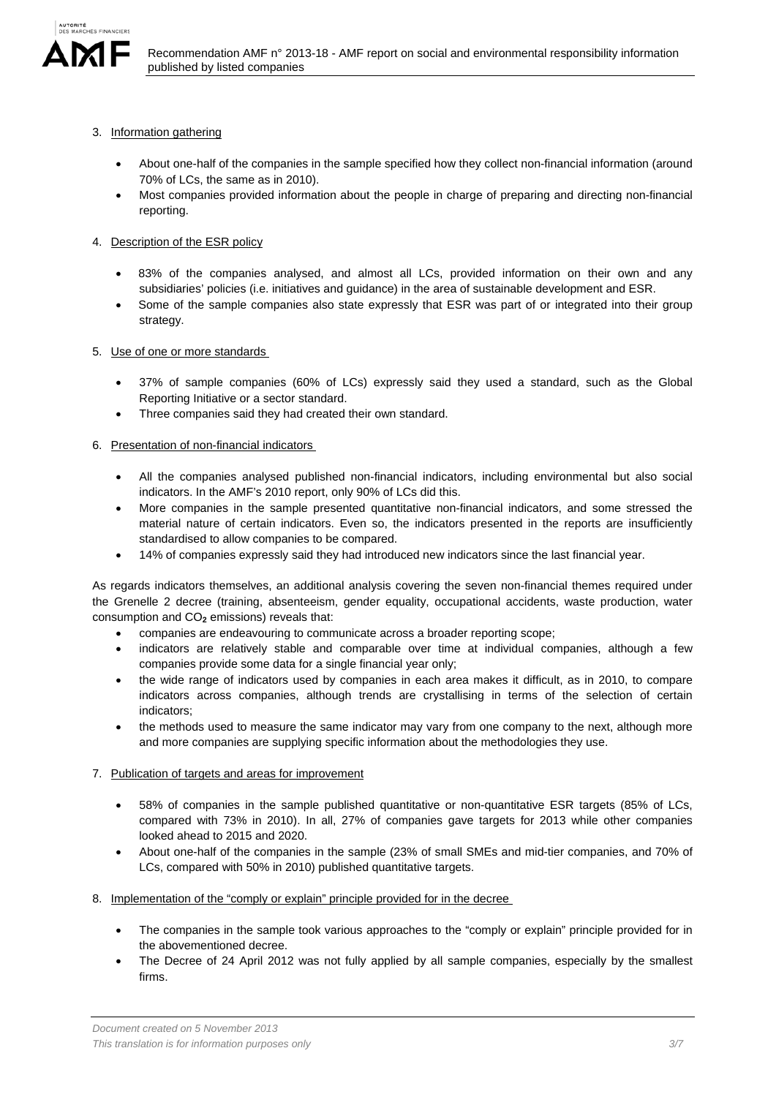

- 3. Information gathering
	- About one-half of the companies in the sample specified how they collect non-financial information (around 70% of LCs, the same as in 2010).
	- Most companies provided information about the people in charge of preparing and directing non-financial reporting.
- 4. Description of the ESR policy
	- 83% of the companies analysed, and almost all LCs, provided information on their own and any subsidiaries' policies (i.e. initiatives and guidance) in the area of sustainable development and ESR.
	- Some of the sample companies also state expressly that ESR was part of or integrated into their group strategy.
- 5. Use of one or more standards
	- 37% of sample companies (60% of LCs) expressly said they used a standard, such as the Global Reporting Initiative or a sector standard.
	- Three companies said they had created their own standard.
- 6. Presentation of non-financial indicators
	- All the companies analysed published non-financial indicators, including environmental but also social indicators. In the AMF's 2010 report, only 90% of LCs did this.
	- More companies in the sample presented quantitative non-financial indicators, and some stressed the material nature of certain indicators. Even so, the indicators presented in the reports are insufficiently standardised to allow companies to be compared.
	- 14% of companies expressly said they had introduced new indicators since the last financial year.

As regards indicators themselves, an additional analysis covering the seven non-financial themes required under the Grenelle 2 decree (training, absenteeism, gender equality, occupational accidents, waste production, water consumption and CO<sub>2</sub> emissions) reveals that:

- companies are endeavouring to communicate across a broader reporting scope;
- indicators are relatively stable and comparable over time at individual companies, although a few companies provide some data for a single financial year only;
- the wide range of indicators used by companies in each area makes it difficult, as in 2010, to compare indicators across companies, although trends are crystallising in terms of the selection of certain indicators;
- the methods used to measure the same indicator may vary from one company to the next, although more and more companies are supplying specific information about the methodologies they use.
- 7. Publication of targets and areas for improvement
	- 58% of companies in the sample published quantitative or non-quantitative ESR targets (85% of LCs, compared with 73% in 2010). In all, 27% of companies gave targets for 2013 while other companies looked ahead to 2015 and 2020.
	- About one-half of the companies in the sample (23% of small SMEs and mid-tier companies, and 70% of LCs, compared with 50% in 2010) published quantitative targets.
- 8. Implementation of the "comply or explain" principle provided for in the decree
	- The companies in the sample took various approaches to the "comply or explain" principle provided for in the abovementioned decree.
	- The Decree of 24 April 2012 was not fully applied by all sample companies, especially by the smallest firms.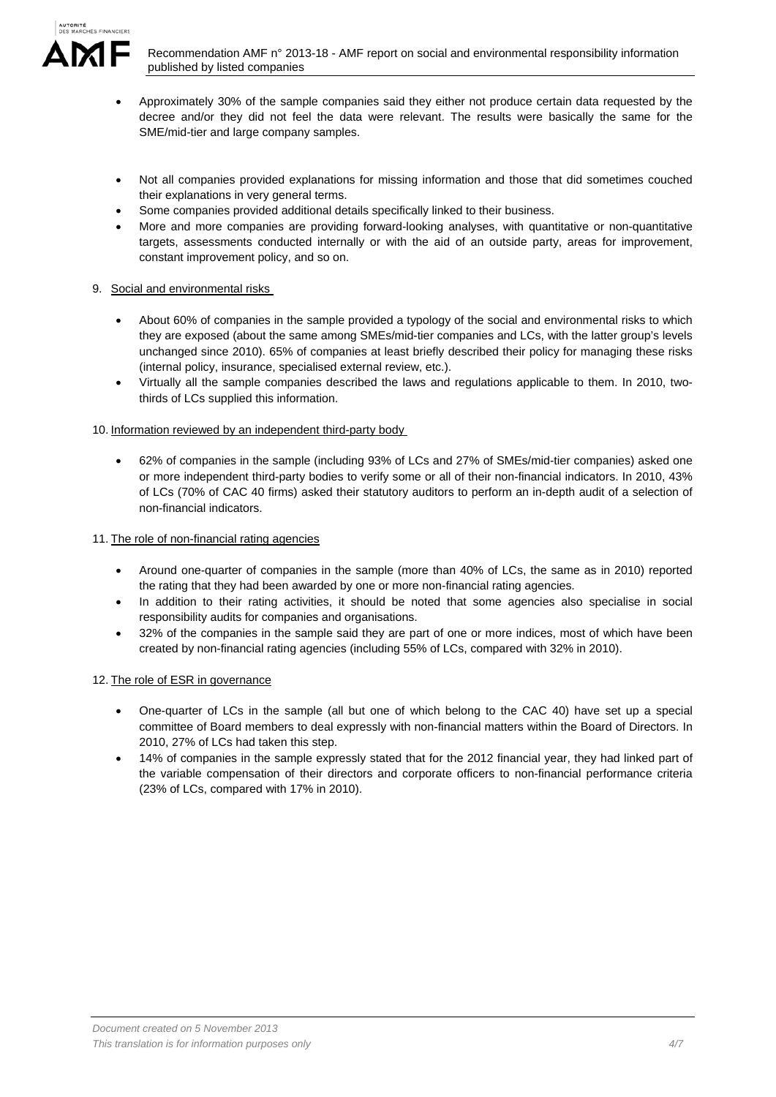

- Approximately 30% of the sample companies said they either not produce certain data requested by the decree and/or they did not feel the data were relevant. The results were basically the same for the SME/mid-tier and large company samples.
- Not all companies provided explanations for missing information and those that did sometimes couched their explanations in very general terms.
- Some companies provided additional details specifically linked to their business.
- More and more companies are providing forward-looking analyses, with quantitative or non-quantitative targets, assessments conducted internally or with the aid of an outside party, areas for improvement, constant improvement policy, and so on.

## 9. Social and environmental risks

- About 60% of companies in the sample provided a typology of the social and environmental risks to which they are exposed (about the same among SMEs/mid-tier companies and LCs, with the latter group's levels unchanged since 2010). 65% of companies at least briefly described their policy for managing these risks (internal policy, insurance, specialised external review, etc.).
- Virtually all the sample companies described the laws and regulations applicable to them. In 2010, twothirds of LCs supplied this information.

## 10. Information reviewed by an independent third-party body

 62% of companies in the sample (including 93% of LCs and 27% of SMEs/mid-tier companies) asked one or more independent third-party bodies to verify some or all of their non-financial indicators. In 2010, 43% of LCs (70% of CAC 40 firms) asked their statutory auditors to perform an in-depth audit of a selection of non-financial indicators.

### 11. The role of non-financial rating agencies

- Around one-quarter of companies in the sample (more than 40% of LCs, the same as in 2010) reported the rating that they had been awarded by one or more non-financial rating agencies.
- In addition to their rating activities, it should be noted that some agencies also specialise in social responsibility audits for companies and organisations.
- 32% of the companies in the sample said they are part of one or more indices, most of which have been created by non-financial rating agencies (including 55% of LCs, compared with 32% in 2010).

## 12. The role of ESR in governance

- One-quarter of LCs in the sample (all but one of which belong to the CAC 40) have set up a special committee of Board members to deal expressly with non-financial matters within the Board of Directors. In 2010, 27% of LCs had taken this step.
- 14% of companies in the sample expressly stated that for the 2012 financial year, they had linked part of the variable compensation of their directors and corporate officers to non-financial performance criteria (23% of LCs, compared with 17% in 2010).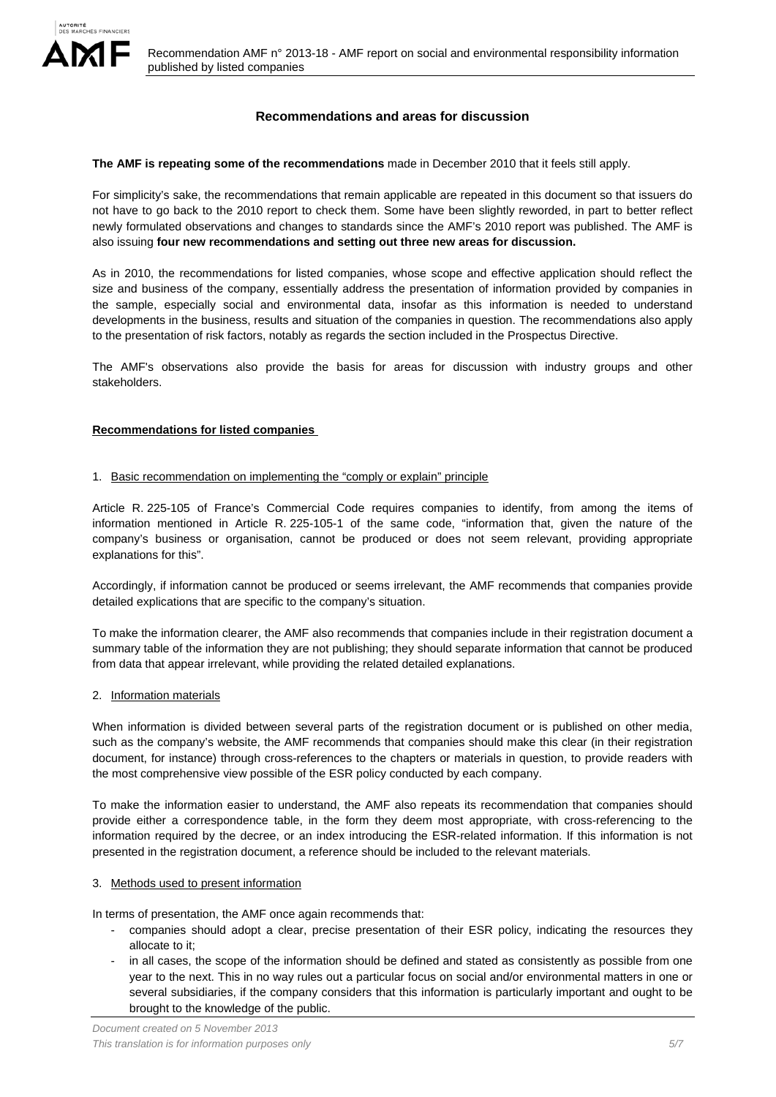

### **Recommendations and areas for discussion**

**The AMF is repeating some of the recommendations** made in December 2010 that it feels still apply.

For simplicity's sake, the recommendations that remain applicable are repeated in this document so that issuers do not have to go back to the 2010 report to check them. Some have been slightly reworded, in part to better reflect newly formulated observations and changes to standards since the AMF's 2010 report was published. The AMF is also issuing **four new recommendations and setting out three new areas for discussion.** 

As in 2010, the recommendations for listed companies, whose scope and effective application should reflect the size and business of the company, essentially address the presentation of information provided by companies in the sample, especially social and environmental data, insofar as this information is needed to understand developments in the business, results and situation of the companies in question. The recommendations also apply to the presentation of risk factors, notably as regards the section included in the Prospectus Directive.

The AMF's observations also provide the basis for areas for discussion with industry groups and other stakeholders.

#### **Recommendations for listed companies**

#### 1. Basic recommendation on implementing the "comply or explain" principle

Article R. 225-105 of France's Commercial Code requires companies to identify, from among the items of information mentioned in Article R. 225-105-1 of the same code, "information that, given the nature of the company's business or organisation, cannot be produced or does not seem relevant, providing appropriate explanations for this".

Accordingly, if information cannot be produced or seems irrelevant, the AMF recommends that companies provide detailed explications that are specific to the company's situation.

To make the information clearer, the AMF also recommends that companies include in their registration document a summary table of the information they are not publishing; they should separate information that cannot be produced from data that appear irrelevant, while providing the related detailed explanations.

#### 2. Information materials

When information is divided between several parts of the registration document or is published on other media, such as the company's website, the AMF recommends that companies should make this clear (in their registration document, for instance) through cross-references to the chapters or materials in question, to provide readers with the most comprehensive view possible of the ESR policy conducted by each company.

To make the information easier to understand, the AMF also repeats its recommendation that companies should provide either a correspondence table, in the form they deem most appropriate, with cross-referencing to the information required by the decree, or an index introducing the ESR-related information. If this information is not presented in the registration document, a reference should be included to the relevant materials.

#### 3. Methods used to present information

In terms of presentation, the AMF once again recommends that:

- companies should adopt a clear, precise presentation of their ESR policy, indicating the resources they allocate to it;
- in all cases, the scope of the information should be defined and stated as consistently as possible from one year to the next. This in no way rules out a particular focus on social and/or environmental matters in one or several subsidiaries, if the company considers that this information is particularly important and ought to be brought to the knowledge of the public.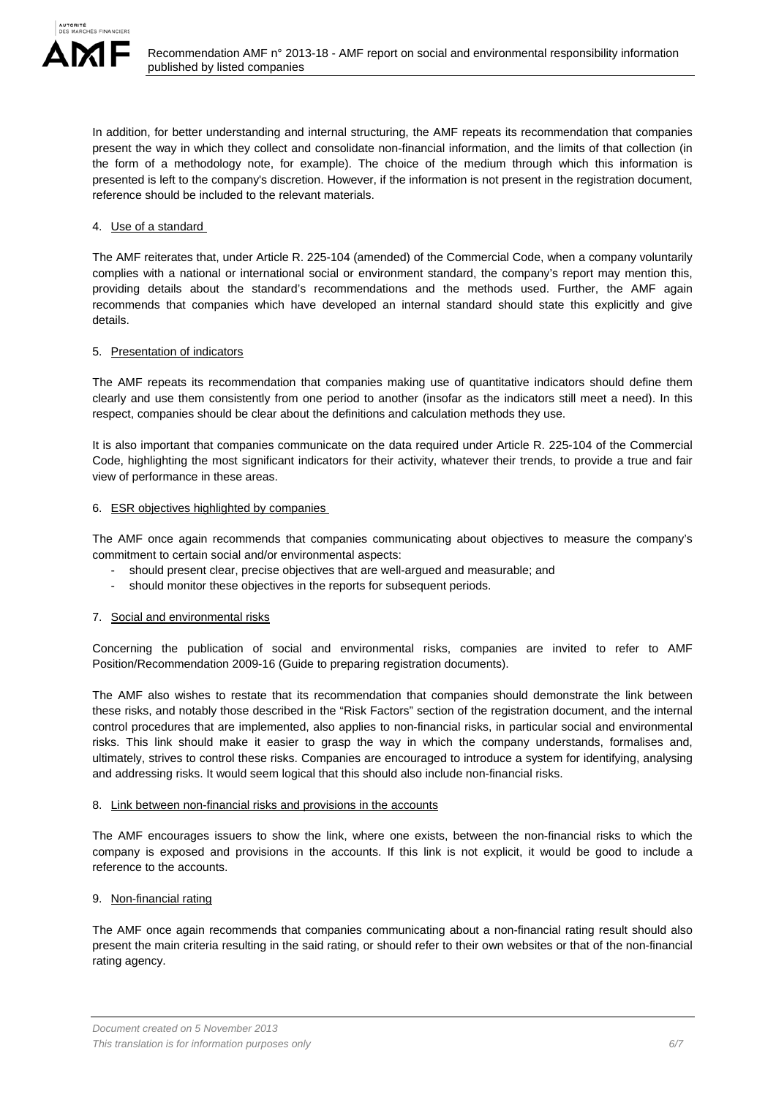

In addition, for better understanding and internal structuring, the AMF repeats its recommendation that companies present the way in which they collect and consolidate non-financial information, and the limits of that collection (in the form of a methodology note, for example). The choice of the medium through which this information is presented is left to the company's discretion. However, if the information is not present in the registration document, reference should be included to the relevant materials.

### 4. Use of a standard

The AMF reiterates that, under Article R. 225-104 (amended) of the Commercial Code, when a company voluntarily complies with a national or international social or environment standard, the company's report may mention this, providing details about the standard's recommendations and the methods used. Further, the AMF again recommends that companies which have developed an internal standard should state this explicitly and give details.

### 5. Presentation of indicators

The AMF repeats its recommendation that companies making use of quantitative indicators should define them clearly and use them consistently from one period to another (insofar as the indicators still meet a need). In this respect, companies should be clear about the definitions and calculation methods they use.

It is also important that companies communicate on the data required under Article R. 225-104 of the Commercial Code, highlighting the most significant indicators for their activity, whatever their trends, to provide a true and fair view of performance in these areas.

### 6. ESR objectives highlighted by companies

The AMF once again recommends that companies communicating about objectives to measure the company's commitment to certain social and/or environmental aspects:

- should present clear, precise objectives that are well-argued and measurable; and
- should monitor these objectives in the reports for subsequent periods.

### 7. Social and environmental risks

Concerning the publication of social and environmental risks, companies are invited to refer to AMF Position/Recommendation 2009-16 (Guide to preparing registration documents).

The AMF also wishes to restate that its recommendation that companies should demonstrate the link between these risks, and notably those described in the "Risk Factors" section of the registration document, and the internal control procedures that are implemented, also applies to non-financial risks, in particular social and environmental risks. This link should make it easier to grasp the way in which the company understands, formalises and, ultimately, strives to control these risks. Companies are encouraged to introduce a system for identifying, analysing and addressing risks. It would seem logical that this should also include non-financial risks.

### 8. Link between non-financial risks and provisions in the accounts

The AMF encourages issuers to show the link, where one exists, between the non-financial risks to which the company is exposed and provisions in the accounts. If this link is not explicit, it would be good to include a reference to the accounts.

### 9. Non-financial rating

The AMF once again recommends that companies communicating about a non-financial rating result should also present the main criteria resulting in the said rating, or should refer to their own websites or that of the non-financial rating agency.